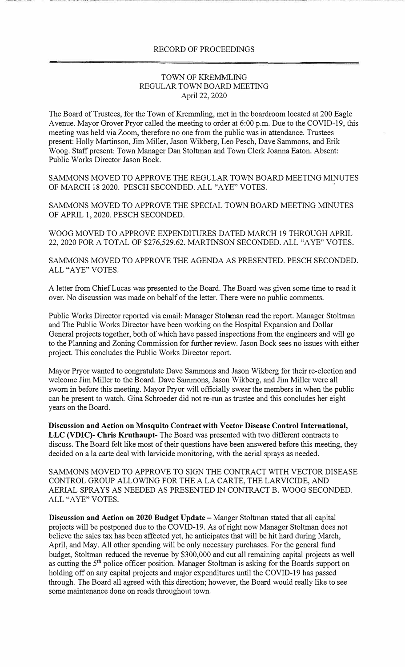## RECORD OF PROCEEDINGS

## TOWN OF KREMMLING REGULAR TOWN BOARD MEETING April 22, 2020

The Board of Trustees, for the Town of Kremmling, met in the boardroom located at 200 Eagle Avenue. Mayor Grover Pryor called the meeting to order at 6:00 p.m. Due to the COVID-19, this meeting was held via Zoom, therefore no one from the public was in attendance. Trustees present: Holly Martinson, Jim Miller, Jason Wikberg, Leo Pesch, Dave Sammons, and Erik Woog. Staff present: Town Manager Dan Stoltman and Town Clerk Joanna Eaton. Absent: Public Works Director Jason Bock.

SAMMONS MOVED TO APPROVE THE REGULAR TOWN BOARD MEETING MINUTES OF MARCH 18 2020. PESCH SECONDED. ALL "A YE" VOTES.

SAMMONS MOVED TO APPROVE THE SPECIAL TOWN BOARD MEETING MINUTES OF APRIL 1, 2020. PESCH SECONDED.

WOOG MOVED TO APPROVE EXPENDITURES DATED MARCH 19 THROUGH APRIL 22, 2020 FOR A TOTAL OF \$276,529.62. MARTINSON SECONDED. ALL "A YE" VOTES.

SAMMONS MOVED TO APPROVE THE AGENDA AS PRESENTED. PESCH SECONDED. ALL "AYE" VOTES.

A letter from Chief Lucas was presented to the Board. The Board was given some time to read it over. No discussion was made on behalf of the letter. There were no public comments.

Public Works Director reported via email: Manager Stoltman read the report. Manager Stoltman and The Public Works Director have been working on the Hospital Expansion and Dollar General projects together, both of which have passed inspections from the engineers and will go to the Planning and Zoning Commission for further review. Jason Bock sees no issues with either project. This concludes the Public Works Director report.

Mayor Pryor wanted to congratulate Dave Sammons and Jason Wikberg for their re-election and welcome Jim Miller to the Board. Dave Sammons, Jason Wikberg, and Jim Miller were all sworn in before this meeting. Mayor Pryor will officially swear the members in when the public can be present to watch. Gina Schroeder did not re-run as trustee and this concludes her eight years on the Board.

**Discussion and Action on Mosquito Contract with Vector Disease Control International, LLC (VDIC)- Chris Kruthaupt-** The Board was presented with two different contracts to discuss. The Board felt like most of their questions have been answered before this meeting, they decided on a la carte deal with larvicide monitoring, with the aerial sprays as needed.

SAMMONS MOVED TO APPROVE TO SIGN THE CONTRACT WITH VECTOR DISEASE CONTROL GROUP ALLOWING FOR THE A LA CARTE, THE LARVICIDE, AND AERIAL SPRAYS AS NEEDED AS PRESENTED IN CONTRACT B. WOOG SECONDED. ALL "AYE" VOTES.

**Discussion and Action on 2020 Budget Update** – Manger Stoltman stated that all capital projects will be postponed due to the COVID-19. As of right now Manager Stoltman does not believe the sales tax has been affected yet, he anticipates that will be hit hard during March, April, and May. All other spending will be only necessary purchases. For the general fund budget, Stoltman reduced the revenue by \$300,000 and cut all remaining capital projects as well as cutting the 5<sup>th</sup> police officer position. Manager Stoltman is asking for the Boards support on holding off on any capital projects and major expenditures until the COVID-19 has passed through. The Board all agreed with this direction; however, the Board would really like to see some maintenance done on roads throughout town.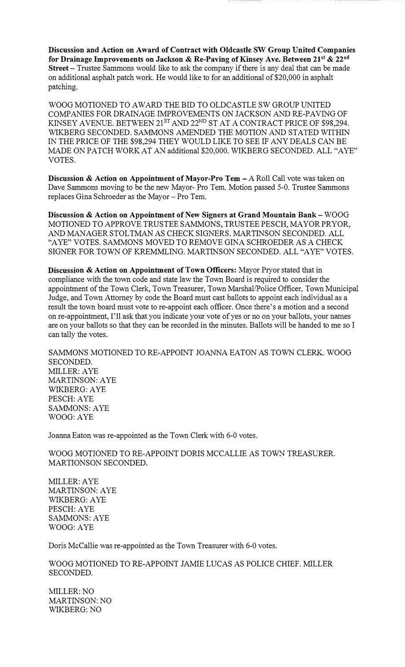**Discussion and Action on Award of Contract with Oldcastle SW Group United Companies for Drainage Improvements on Jackson** & **Re-Paving of Kinsey Ave. Between 21'<sup>1</sup>**& **22nd Street-** Trustee Sammons would like to ask the company if there is any deal that can be made on additional asphalt patch work. He would like to for an additional of \$20,000 in asphalt patching.

WOOG MOTIONED TO AWARD THE BID TO OLDCASTLE SW GROUP UNITED COMPANIES FOR DRAINAGE IMPROVEMENTS ON JACKSON AND RE-PAVING OF KINSEY AVENUE. BETWEEN 21<sup>ST</sup> AND 22<sup>ND</sup> ST AT A CONTRACT PRICE OF \$98,294. WIKBERG SECONDED. SAMMONS AMENDED THE MOTION AND STATED WITHIN IN THE PRICE OF THE \$98,294 THEY WOULD LIKE TO SEE IF ANY DEALS CAN BE MADE ON PATCH WORK AT AN additional \$20,000. WIKBERG SECONDED. ALL "AYE" VOTES.

**Discussion & Action on Appointment of Mayor-Pro Tem - A Roll Call vote was taken on** Dave Sammons moving to be the new Mayor- Pro Tern. Motion passed 5-0. Trustee Sammons replaces Gina Schroeder as the Mayor - Pro Tem.

**Discussion & Action on Appointment of New Signers at Grand Mountain Bank-** WOOG MOTIONED TO APPROVE TRUSTEE SAMMONS, TRUSTEE PESCH, MAYOR PRYOR, AND MANAGER STOLTMAN AS CHECK SIGNERS. MARTINSON SECONDED. ALL "A YE" VOTES. SAMMONS MOVED TO REMOVE GINA SCHROEDER AS A CHECK SIGNER FOR TOWN OF KREMMLING. MARTINSON SECONDED. ALL "A YE" VOTES.

**Discussion & Action on Appointment of Town Officers:** Mayor Pryor stated that in compliance with the town code and state law the Town Board is required to consider the appointment of the Town Clerk, Town Treasurer, Town Marshal/Police Officer, Town Municipal Judge, and Town Attorney by code the Board must cast ballots to appoint each individual as a result the town board must vote to re-appoint each officer. Once there's a motion and a second on re-appointment, I'll ask that you indicate your vote of yes or no on your ballots, your names are on your ballots so that they can be recorded in the minutes. Ballots will be handed to me so I can tally the votes.

SAMMONS MOTIONED TO RE-APPOINT JOANNA EATON AS TOWN CLERK. WOOG SECONDED. MILLER:AYE MARTINSON: A YE WlKBERG:AYE PESCH:AYE SAMMONS: AYE WOOG:AYE

Joarma Eaton was re-appointed as the Town Clerk with 6-0 votes.

WOOG MOTIONED TO RE-APPOINT DORIS MCCALLIE AS TOWN TREASURER. MARTIONSON SECONDED.

MILLER:AYE MARTINSON: AYE WIKBERG: A YE PESCH:AYE SAMMONS: AYE WOOG:AYE

Doris McCallie was re-appointed as the Town Treasurer with 6-0 votes.

WOOG MOTIONED TO RE-APPOINT JAMIE LUCAS AS POLICE CHIEF. MILLER SECONDED.

MILLER:NO MARTINSON: NO WIKBERG:NO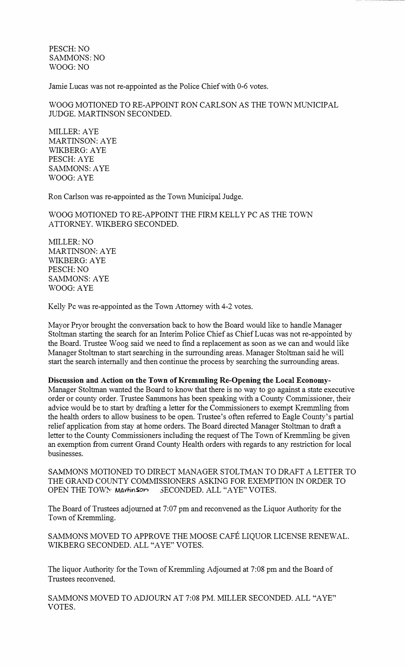PESCH: NO SAMMONS: NO WOOG:NO

Jamie Lucas was not re-appointed as the Police Chief with 0-6 votes.

WOOG MOTIONED TO RE-APPOINT RON CARLSON AS THE TOWN MUNICIPAL JUDGE. MARTINSON SECONDED.

MILLER:AYE MARTINSON: A YE WIKBERG:AYE PESCH:AYE SAMMONS: A YE WOOG:AYE

Ron Carlson was re-appointed as the Town Municipal Judge.

WOOG MOTIONED TO RE-APPOINT THE FIRM KELLY PC AS THE TOWN ATTORNEY. WIKBERG SECONDED.

MILLER:NO MARTINSON: A YE WIKBERG:AYE PESCH:NO SAMMONS: AYE WOOG:AYE

Kelly Pc was re-appointed as the Town Attorney with 4-2 votes.

Mayor Pryor brought the conversation back to how the Board would like to handle Manager Stoltman starting the search for an Interim Police Chief as Chief Lucas was not re-appointed by the Board. Trustee Woog said we need to find a replacement as soon as we can and would like Manager Stoltman to start searching in the surrounding areas. Manager Stoltman said he will start the search internally and then continue the process by searching the surrounding areas.

**Discussion and Action on the Town of Kremmling Re-Opening the Local Economy-**

Manager Stoltman wanted the Board to know that there is no way to go against a state executive order or county order. Trustee Sammons has been speaking with a County Commissioner, their advice would be to start by drafting a letter for the Commissioners to exempt Kremmling from the health orders to allow business to be open. Trustee's often referred to Eagle County's partial relief application from stay at home orders. The Board directed Manager Stoltman to draft a letter to the County Commissioners including the request of The Town of Kremmling be given an exemption from current Grand County Health orders with regards to any restriction for local businesses.

SAMMONS MOTIONED TO DIRECT MANAGER STOLTMAN TO DRAFT A LETTER TO THE GRAND COUNTY COMMISSIONERS ASKING FOR EXEMPTION IN ORDER TO OPEN THE TOWN Martinson SECONDED. ALL "AYE" VOTES.

The Board of Trustees adjourned at 7:07 pm and reconvened as the Liquor Authority for the Town of Kremmling.

SAMMONS MOVED TO APPROVE THE MOOSE CAFE LIQUOR LICENSE RENEWAL. WIKBERG SECONDED. ALL "AYE" VOTES.

The liquor Authority for the Town of Kremmling Adjourned at 7:08 pm and the Board of Trustees reconvened.

SAMMONS MOVED TO ADJOURN AT 7:08 PM. MILLER SECONDED. ALL "AYE" VOTES.